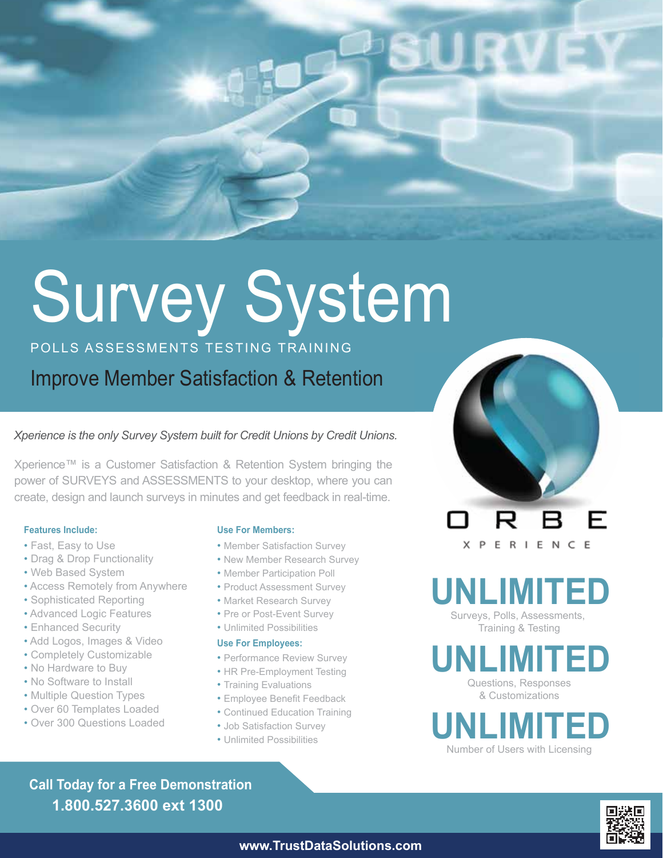# Survey System

# POLLS ASSESSMENTS TESTING TRAINING

Improve Member Satisfaction & Retention

### *Xperience is the only Survey System built for Credit Unions by Credit Unions.*

Xperience™ is a Customer Satisfaction & Retention System bringing the power of SURVEYS and ASSESSMENTS to your desktop, where you can create, design and launch surveys in minutes and get feedback in real-time.

### **Features Include:**

- Fast, Easy to Use
- Drag & Drop Functionality
- Web Based System
- Access Remotely from Anywhere
- Sophisticated Reporting
- Advanced Logic Features
- Enhanced Security
- Add Logos, Images & Video
- Completely Customizable
- No Hardware to Buy
- No Software to Install
- Multiple Question Types
- Over 60 Templates Loaded
- Over 300 Questions Loaded

### **Use For Members:**

- Member Satisfaction Survey
- New Member Research Survey
- Member Participation Poll
- Product Assessment Survey
- Market Research Survey
- Pre or Post-Event Survey
- Unlimited Possibilities

### **Use For Employees:**

- Performance Review Survey
- HR Pre-Employment Testing
- Training Evaluations
- Employee Benefit Feedback
- Continued Education Training
- Job Satisfaction Survey
- Unlimited Possibilities

F **XPERIENCE** 

**UNLIMITED**

Surveys, Polls, Assessments, Training & Testing

Questions, Responses & Customizations **UNLIMITED**



**1.800.527.3600 ext 1300 Call Today for a Free Demonstration**